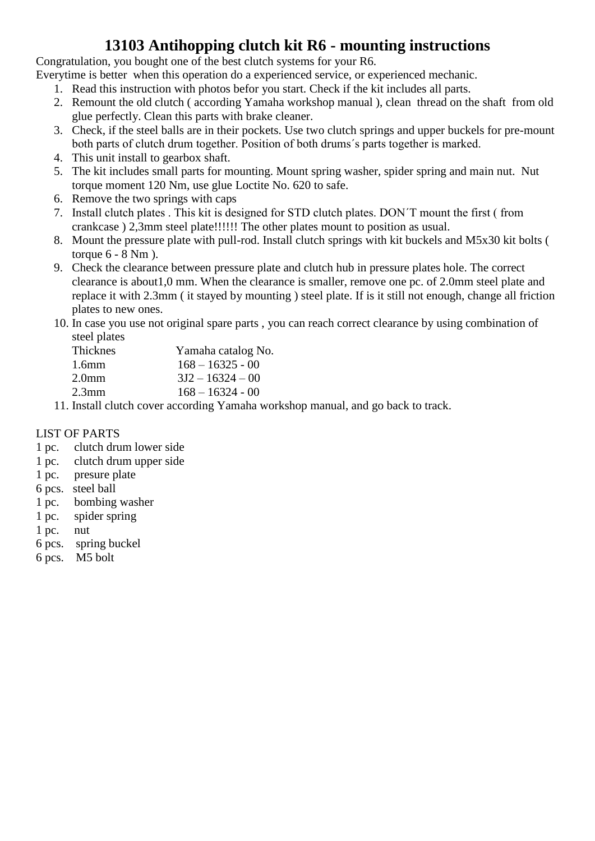## **13103 Antihopping clutch kit R6 - mounting instructions**

Congratulation, you bought one of the best clutch systems for your R6.

Everytime is better when this operation do a experienced service, or experienced mechanic.

- 1. Read this instruction with photos befor you start. Check if the kit includes all parts.
- 2. Remount the old clutch ( according Yamaha workshop manual ), clean thread on the shaft from old glue perfectly. Clean this parts with brake cleaner.
- 3. Check, if the steel balls are in their pockets. Use two clutch springs and upper buckels for pre-mount both parts of clutch drum together. Position of both drums´s parts together is marked.
- 4. This unit install to gearbox shaft.
- 5. The kit includes small parts for mounting. Mount spring washer, spider spring and main nut. Nut torque moment 120 Nm, use glue Loctite No. 620 to safe.
- 6. Remove the two springs with caps
- 7. Install clutch plates . This kit is designed for STD clutch plates. DON´T mount the first ( from crankcase ) 2,3mm steel plate!!!!!! The other plates mount to position as usual.
- 8. Mount the pressure plate with pull-rod. Install clutch springs with kit buckels and M5x30 kit bolts ( torque 6 - 8 Nm ).
- 9. Check the clearance between pressure plate and clutch hub in pressure plates hole. The correct clearance is about1,0 mm. When the clearance is smaller, remove one pc. of 2.0mm steel plate and replace it with 2.3mm ( it stayed by mounting ) steel plate. If is it still not enough, change all friction plates to new ones.
- 10. In case you use not original spare parts , you can reach correct clearance by using combination of steel plates

| <b>Thicknes</b>   | Yamaha catalog No. |
|-------------------|--------------------|
| 1.6 <sub>mm</sub> | $168 - 16325 - 00$ |
| 2.0 <sub>mm</sub> | $3J2 - 16324 - 00$ |
| $2.3$ mm          | $168 - 16324 - 00$ |
|                   |                    |

11. Install clutch cover according Yamaha workshop manual, and go back to track.

#### LIST OF PARTS

- 1 pc. clutch drum lower side
- 1 pc. clutch drum upper side
- 1 pc. presure plate
- 6 pcs. steel ball
- 1 pc. bombing washer
- 1 pc. spider spring
- 1 pc. nut
- 6 pcs. spring buckel
- 6 pcs. M5 bolt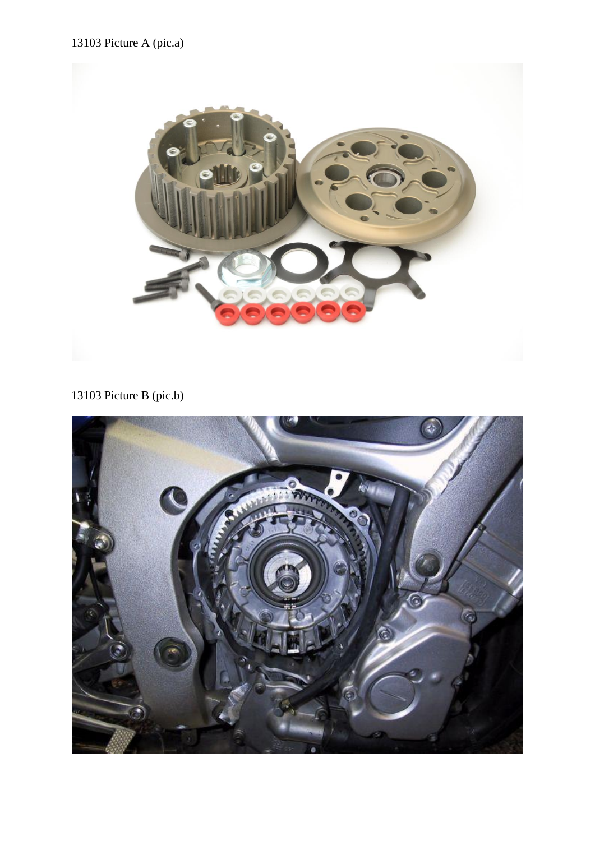## 13103 Picture A (pic.a)



# 13103 Picture B (pic.b)

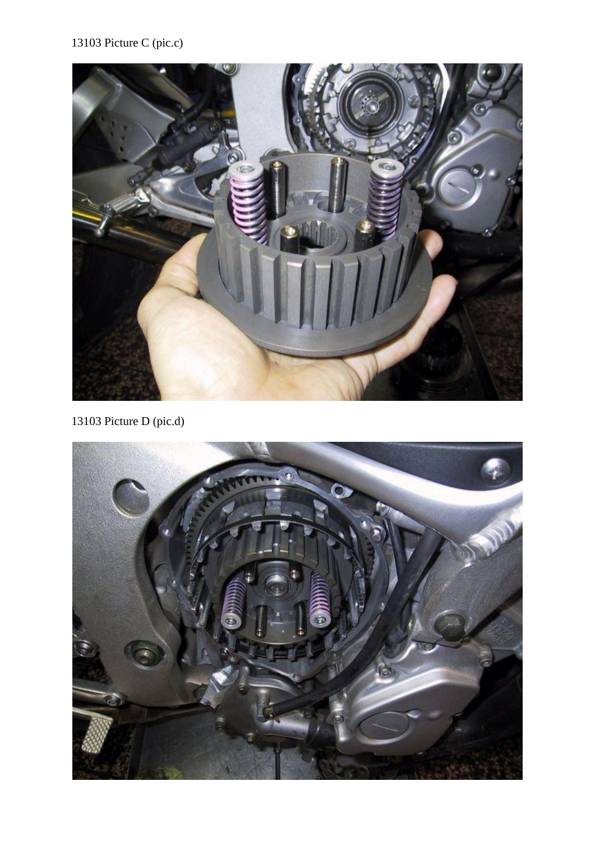

13103 Picture D (pic.d)

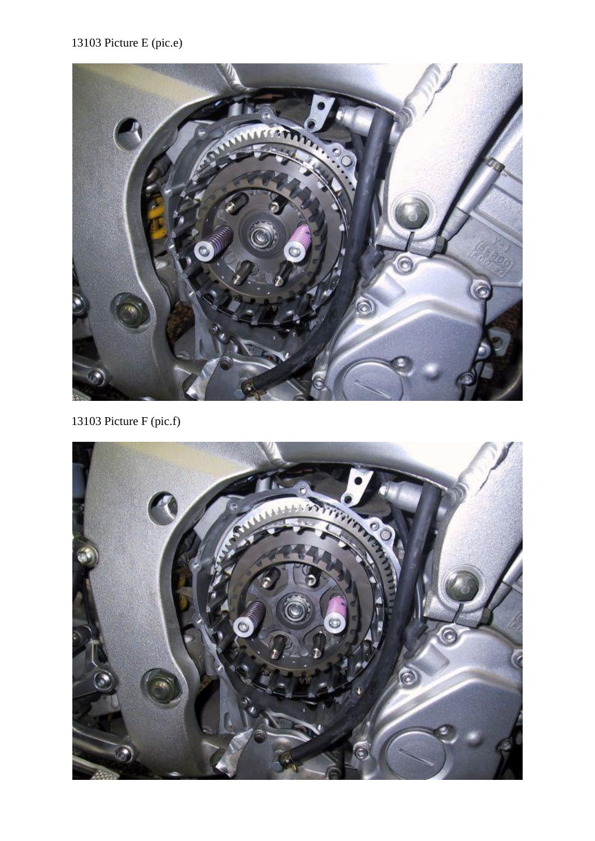## 13103 Picture E (pic.e)



13103 Picture F (pic.f)

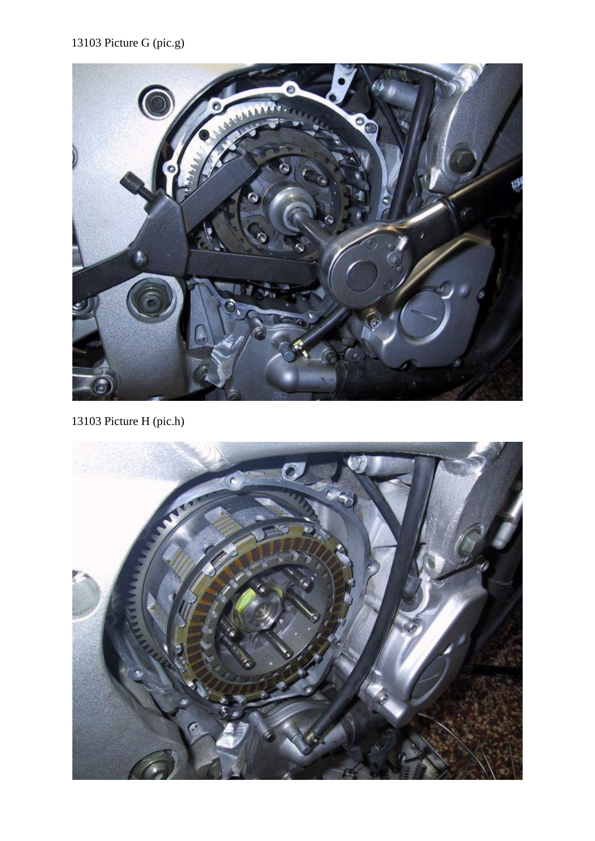# 13103 Picture G (pic.g)



13103 Picture H (pic.h)